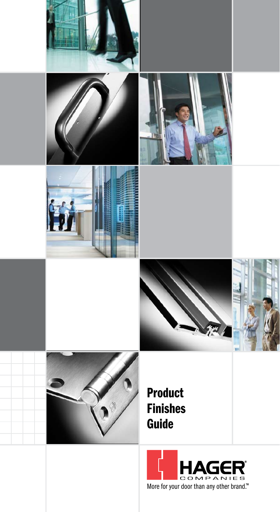

More for your door than any other brand.™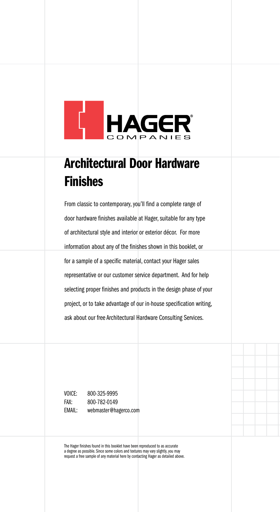

#### Architectural Door Hardware Finishes

From classic to contemporary, you'll find a complete range of door hardware finishes available at Hager, suitable for any type of architectural style and interior or exterior décor. For more information about any of the finishes shown in this booklet, or for a sample of a specific material, contact your Hager sales representative or our customer service department. And for help selecting proper finishes and products in the design phase of your project, or to take advantage of our in-house specification writing, ask about our free Architectural Hardware Consulting Services.

Voice: 800-325-9995 Fax: 800-782-0149 Email: webmaster@hagerco.com

The Hager finishes found in this booklet have been reproduced to as accurate a degree as possible. Since some colors and textures may vary slightly, you may request a free sample of any material here by contacting Hager as detailed above.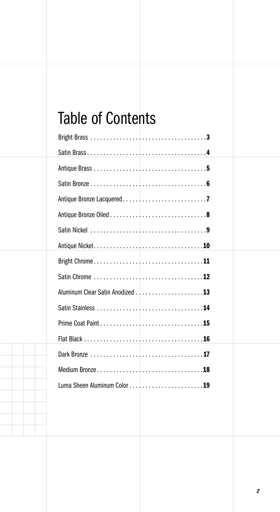#### Table of Contents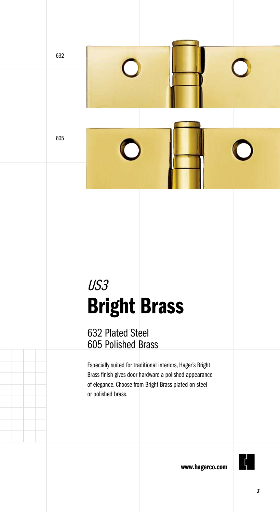

# US3 Bright Brass

632 Plated Steel 605 Polished Brass

Especially suited for traditional interiors, Hager's Bright Brass finish gives door hardware a polished appearance of elegance. Choose from Bright Brass plated on steel or polished brass.

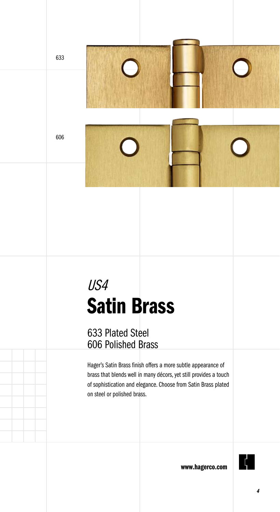633

### US4 Satin Brass

633 Plated Steel 606 Polished Brass

Hager's Satin Brass finish offers a more subtle appearance of brass that blends well in many décors, yet still provides a touch of sophistication and elegance. Choose from Satin Brass plated on steel or polished brass.

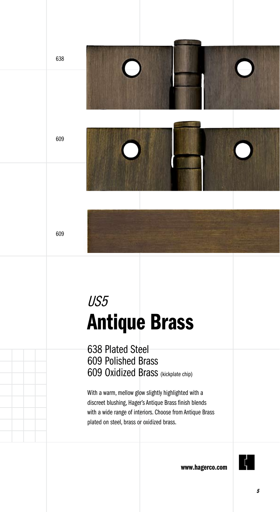

## US5 Antique Brass

638 Plated Steel 609 Polished Brass 609 Oxidized Brass (kickplate chip)

With a warm, mellow glow slightly highlighted with a discreet blushing, Hager's Antique Brass finish blends with a wide range of interiors. Choose from Antique Brass plated on steel, brass or oxidized brass.

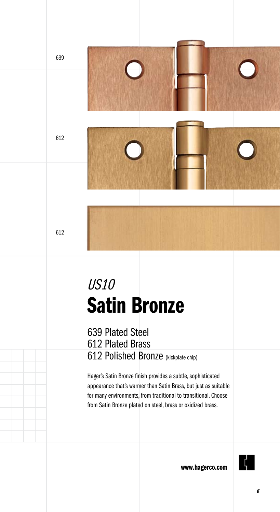

### US10 Satin Bronze

639 Plated Steel 612 Plated Brass 612 Polished Bronze (kickplate chip)

Hager's Satin Bronze finish provides a subtle, sophisticated appearance that's warmer than Satin Brass, but just as suitable for many environments, from traditional to transitional. Choose from Satin Bronze plated on steel, brass or oxidized brass.

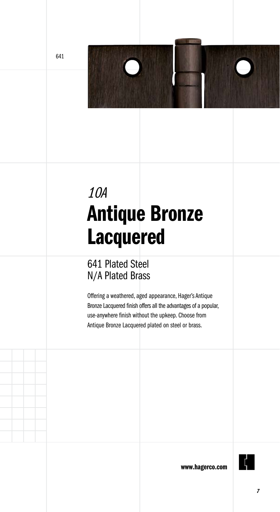

### 10A Antique Bronze Lacquered

#### 641 Plated Steel N/A Plated Brass

Offering a weathered, aged appearance, Hager's Antique Bronze Lacquered finish offers all the advantages of a popular, use-anywhere finish without the upkeep. Choose from Antique Bronze Lacquered plated on steel or brass.

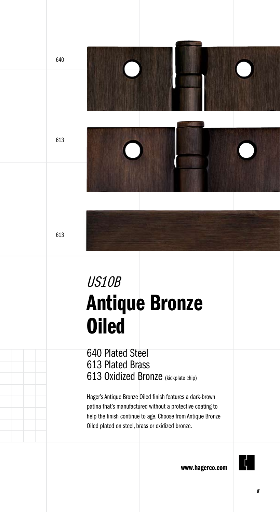613

640

### US10B Antique Bronze **Oiled**

640 Plated Steel 613 Plated Brass 613 Oxidized Bronze (kickplate chip)

Hager's Antique Bronze Oiled finish features a dark-brown patina that's manufactured without a protective coating to help the finish continue to age. Choose from Antique Bronze Oiled plated on steel, brass or oxidized bronze.

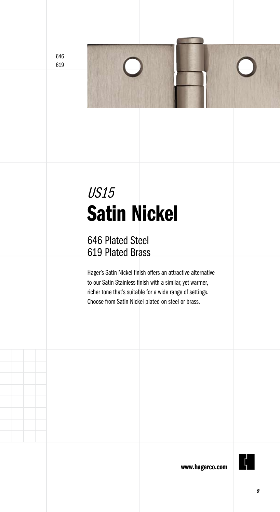# US15 Satin Nickel

#### 646 Plated Steel 619 Plated Brass

Hager's Satin Nickel finish offers an attractive alternative to our Satin Stainless finish with a similar, yet warmer, richer tone that's suitable for a wide range of settings. Choose from Satin Nickel plated on steel or brass.

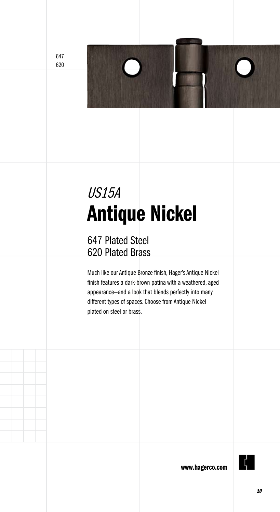# US15A Antique Nickel

#### 647 Plated Steel 620 Plated Brass

Much like our Antique Bronze finish, Hager's Antique Nickel finish features a dark-brown patina with a weathered, aged appearance—and a look that blends perfectly into many different types of spaces. Choose from Antique Nickel plated on steel or brass.

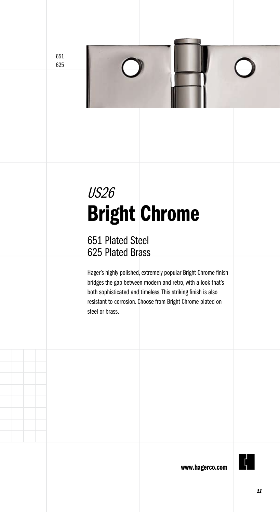### US26 Bright Chrome

#### 651 Plated Steel 625 Plated Brass

Hager's highly polished, extremely popular Bright Chrome finish bridges the gap between modern and retro, with a look that's both sophisticated and timeless. This striking finish is also resistant to corrosion. Choose from Bright Chrome plated on steel or brass.

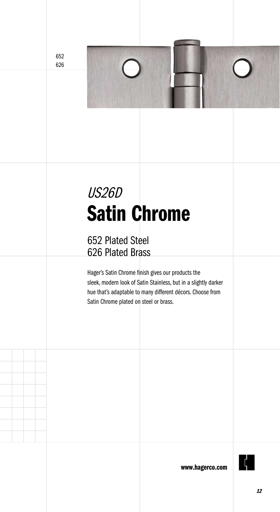

#### 652 Plated Steel 626 Plated Brass

Hager's Satin Chrome finish gives our products the sleek, modern look of Satin Stainless, but in a slightly darker hue that's adaptable to many different décors. Choose from Satin Chrome plated on steel or brass.

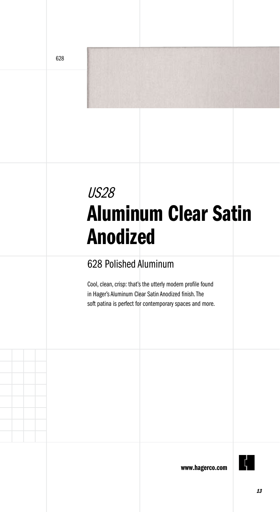### US28 Aluminum Clear Satin Anodized

#### 628 Polished Aluminum

Cool, clean, crisp: that's the utterly modern profile found in Hager's Aluminum Clear Satin Anodized finish. The soft patina is perfect for contemporary spaces and more.

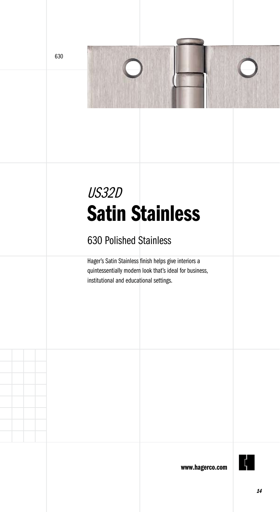



#### 630 Polished Stainless

Hager's Satin Stainless finish helps give interiors a quintessentially modern look that's ideal for business, institutional and educational settings.

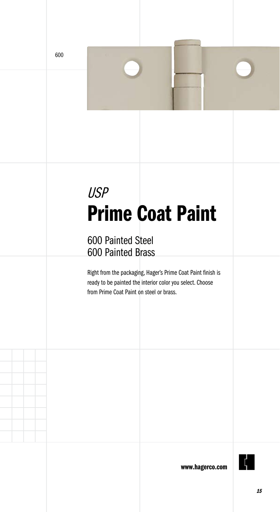## USP Prime Coat Paint

#### 600 Painted Steel 600 Painted Brass

Right from the packaging, Hager's Prime Coat Paint finish is ready to be painted the interior color you select. Choose from Prime Coat Paint on steel or brass.

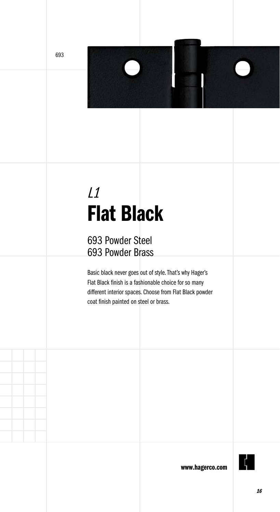### $L1$ Flat Black

 $\Box$ 

#### 693 Powder Steel 693 Powder Brass

Basic black never goes out of style. That's why Hager's Flat Black finish is a fashionable choice for so many different interior spaces. Choose from Flat Black powder coat finish painted on steel or brass.

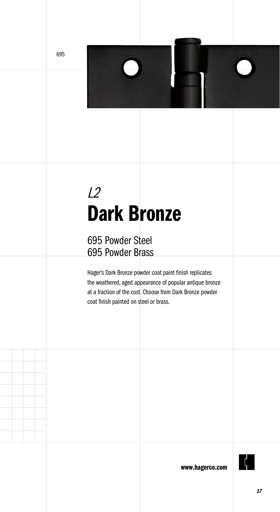### L2 Dark Bronze

#### 695 Powder Steel 695 Powder Brass

Hager's Dark Bronze powder coat paint finish replicates the weathered, aged appearance of popular antique bronze at a fraction of the cost. Choose from Dark Bronze powder coat finish painted on steel or brass.

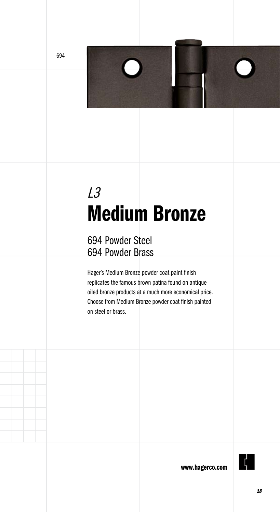### L3 Medium Bronze

#### 694 Powder Steel 694 Powder Brass

Hager's Medium Bronze powder coat paint finish replicates the famous brown patina found on antique oiled bronze products at a much more economical price. Choose from Medium Bronze powder coat finish painted on steel or brass.

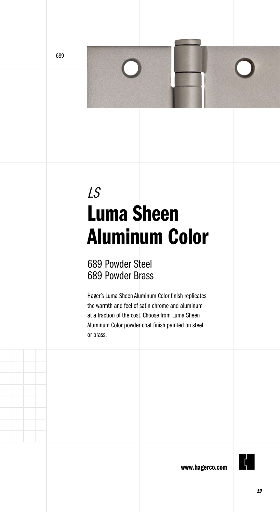## LS Luma Sheen Aluminum Color

#### 689 Powder Steel 689 Powder Brass

Hager's Luma Sheen Aluminum Color finish replicates the warmth and feel of satin chrome and aluminum at a fraction of the cost. Choose from Luma Sheen Aluminum Color powder coat finish painted on steel or brass.

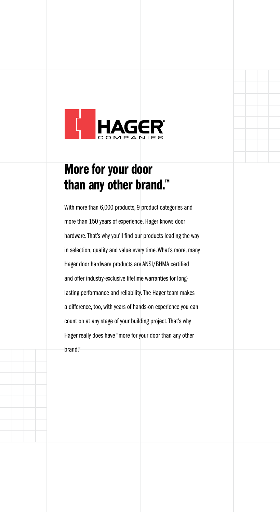

#### More for your door than any other brand.<sup>™</sup>

With more than 6,000 products, 9 product categories and more than 150 years of experience, Hager knows door hardware. That's why you'll find our products leading the way in selection, quality and value every time. What's more, many Hager door hardware products are ANSI/BHMA certified and offer industry-exclusive lifetime warranties for longlasting performance and reliability. The Hager team makes a difference, too, with years of hands-on experience you can count on at any stage of your building project. That's why Hager really does have "more for your door than any other brand."